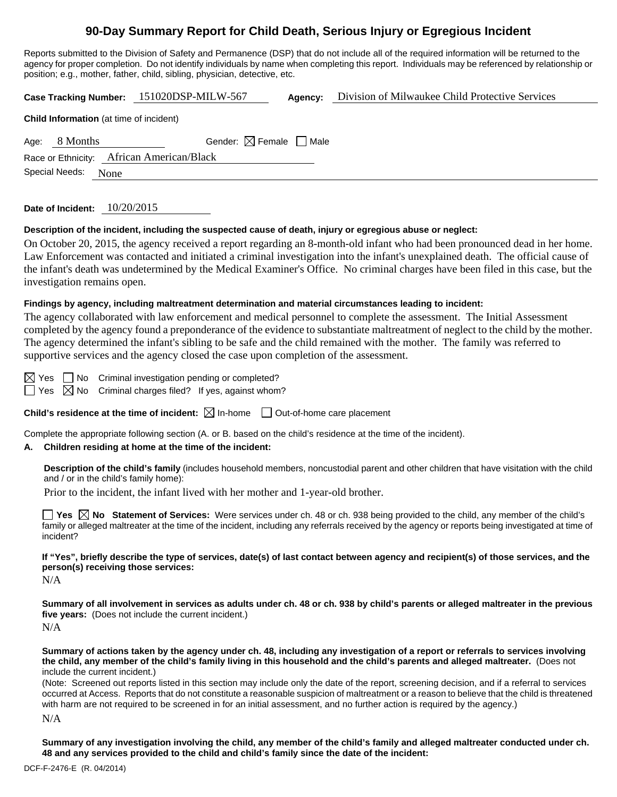# **90-Day Summary Report for Child Death, Serious Injury or Egregious Incident**

Reports submitted to the Division of Safety and Permanence (DSP) that do not include all of the required information will be returned to the agency for proper completion. Do not identify individuals by name when completing this report. Individuals may be referenced by relationship or position; e.g., mother, father, child, sibling, physician, detective, etc.

|                                                |          | Case Tracking Number: 151020DSP-MILW-567 | Agency: | Division of Milwaukee Child Protective Services |  |  |  |  |
|------------------------------------------------|----------|------------------------------------------|---------|-------------------------------------------------|--|--|--|--|
| <b>Child Information</b> (at time of incident) |          |                                          |         |                                                 |  |  |  |  |
| Age:                                           | 8 Months | Gender: $\boxtimes$ Female $\Box$ Male   |         |                                                 |  |  |  |  |
| Race or Ethnicity: African American/Black      |          |                                          |         |                                                 |  |  |  |  |
| Special Needs:<br>None                         |          |                                          |         |                                                 |  |  |  |  |
|                                                |          |                                          |         |                                                 |  |  |  |  |

**Date of Incident:** 10/20/2015

### **Description of the incident, including the suspected cause of death, injury or egregious abuse or neglect:**

On October 20, 2015, the agency received a report regarding an 8-month-old infant who had been pronounced dead in her home. Law Enforcement was contacted and initiated a criminal investigation into the infant's unexplained death. The official cause of the infant's death was undetermined by the Medical Examiner's Office. No criminal charges have been filed in this case, but the investigation remains open.

### **Findings by agency, including maltreatment determination and material circumstances leading to incident:**

The agency collaborated with law enforcement and medical personnel to complete the assessment. The Initial Assessment completed by the agency found a preponderance of the evidence to substantiate maltreatment of neglect to the child by the mother. The agency determined the infant's sibling to be safe and the child remained with the mother. The family was referred to supportive services and the agency closed the case upon completion of the assessment.

 $\boxtimes$  Yes  $\Box$  No Criminal investigation pending or completed?

 $\Box$  Yes  $\boxtimes$  No Criminal charges filed? If yes, against whom?

**Child's residence at the time of incident:**  $\boxtimes$  In-home  $\Box$  Out-of-home care placement

Complete the appropriate following section (A. or B. based on the child's residence at the time of the incident).

### **A. Children residing at home at the time of the incident:**

**Description of the child's family** (includes household members, noncustodial parent and other children that have visitation with the child and / or in the child's family home):

Prior to the incident, the infant lived with her mother and 1-year-old brother.

**Yes**  $\boxtimes$  **No** Statement of Services: Were services under ch. 48 or ch. 938 being provided to the child, any member of the child's family or alleged maltreater at the time of the incident, including any referrals received by the agency or reports being investigated at time of incident?

**If "Yes", briefly describe the type of services, date(s) of last contact between agency and recipient(s) of those services, and the person(s) receiving those services:** 

N/A

**Summary of all involvement in services as adults under ch. 48 or ch. 938 by child's parents or alleged maltreater in the previous five years:** (Does not include the current incident.) N/A

**Summary of actions taken by the agency under ch. 48, including any investigation of a report or referrals to services involving the child, any member of the child's family living in this household and the child's parents and alleged maltreater.** (Does not include the current incident.)

(Note: Screened out reports listed in this section may include only the date of the report, screening decision, and if a referral to services occurred at Access. Reports that do not constitute a reasonable suspicion of maltreatment or a reason to believe that the child is threatened with harm are not required to be screened in for an initial assessment, and no further action is required by the agency.)

N/A

**Summary of any investigation involving the child, any member of the child's family and alleged maltreater conducted under ch. 48 and any services provided to the child and child's family since the date of the incident:**